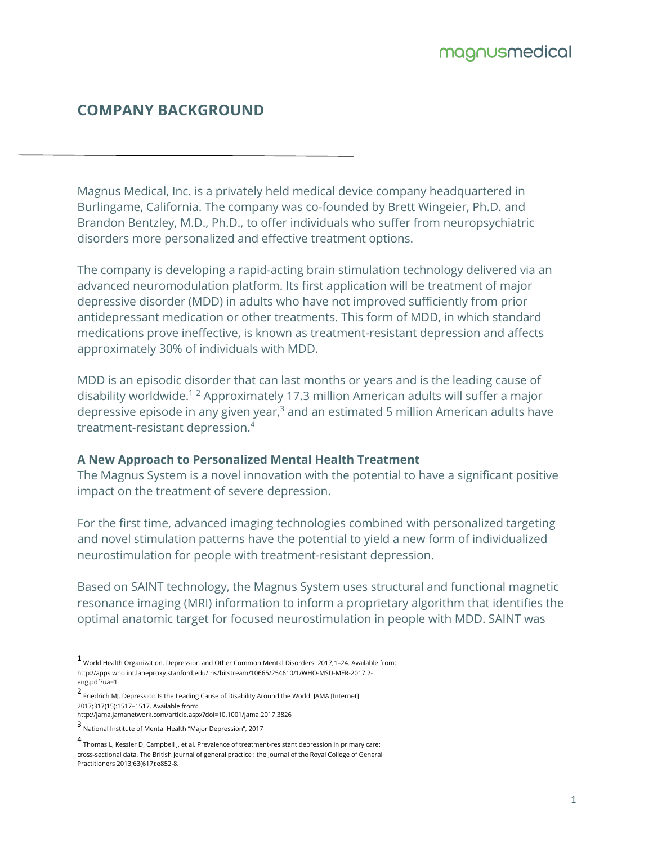# **COMPANY BACKGROUND**

Magnus Medical, Inc. is a privately held medical device company headquartered in Burlingame, California. The company was co-founded by Brett Wingeier, Ph.D. and Brandon Bentzley, M.D., Ph.D., to offer individuals who suffer from neuropsychiatric disorders more personalized and effective treatment options.

The company is developing a rapid-acting brain stimulation technology delivered via an advanced neuromodulation platform. Its first application will be treatment of major depressive disorder (MDD) in adults who have not improved sufficiently from prior antidepressant medication or other treatments. This form of MDD, in which standard medications prove ineffective, is known as treatment-resistant depression and affects approximately 30% of individuals with MDD.

MDD is an episodic disorder that can last months or years and is the leading cause of disability worldwide.<sup>12</sup> Approximately 17.3 million American adults will suffer a major depressive episode in any given year, $3$  and an estimated 5 million American adults have treatment-resistant depression.<sup>4</sup>

#### **A New Approach to Personalized Mental Health Treatment**

The Magnus System is a novel innovation with the potential to have a significant positive impact on the treatment of severe depression.

For the first time, advanced imaging technologies combined with personalized targeting and novel stimulation patterns have the potential to yield a new form of individualized neurostimulation for people with treatment-resistant depression.

Based on SAINT technology, the Magnus System uses structural and functional magnetic resonance imaging (MRI) information to inform a proprietary algorithm that identifies the optimal anatomic target for focused neurostimulation in people with MDD. SAINT was

<sup>1</sup> World Health Organization. Depression and Other Common Mental Disorders. 2017;1–24. Available from: http://apps.who.int.laneproxy.stanford.edu/iris/bitstream/10665/254610/1/WHO-MSD-MER-2017.2 eng.pdf?ua=1

<sup>2</sup> Friedrich MJ. Depression Is the Leading Cause of Disability Around the World. JAMA [Internet] 2017;317(15):1517–1517. Available from:

http://jama.jamanetwork.com/article.aspx?doi=10.1001/jama.2017.3826

<sup>3</sup> National Institute of Mental Health "Major Depression", 2017

<sup>4</sup> Thomas L, Kessler D, Campbell J, et al. Prevalence of treatment-resistant depression in primary care: cross-sectional data. The British journal of general practice : the journal of the Royal College of General Practitioners 2013;63(617):e852-8.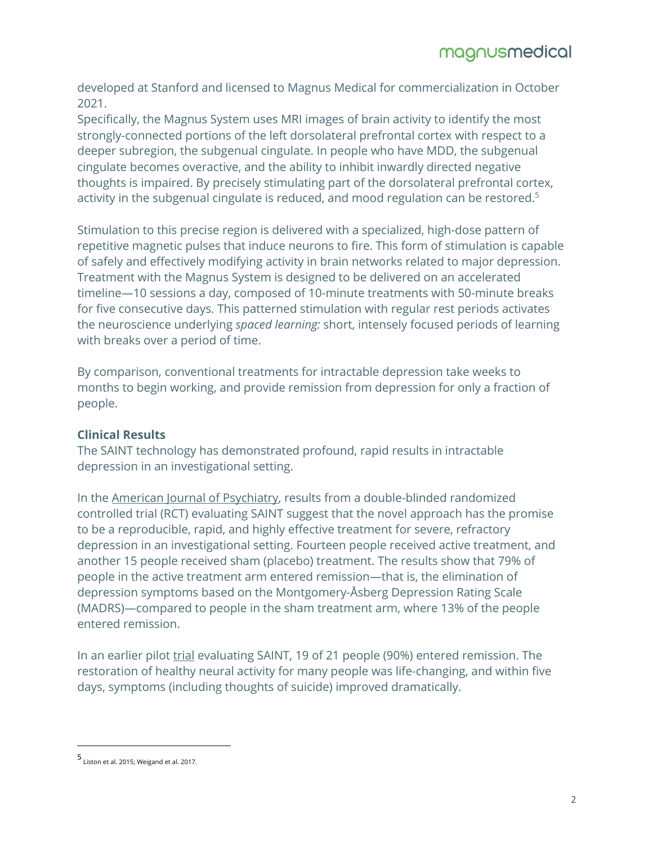developed at Stanford and licensed to Magnus Medical for commercialization in October 2021.

Specifically, the Magnus System uses MRI images of brain activity to identify the most strongly-connected portions of the left dorsolateral prefrontal cortex with respect to a deeper subregion, the subgenual cingulate. In people who have MDD, the subgenual cingulate becomes overactive, and the ability to inhibit inwardly directed negative thoughts is impaired. By precisely stimulating part of the dorsolateral prefrontal cortex, activity in the subgenual cingulate is reduced, and mood regulation can be restored.<sup>5</sup>

Stimulation to this precise region is delivered with a specialized, high-dose pattern of repetitive magnetic pulses that induce neurons to fire. This form of stimulation is capable of safely and effectively modifying activity in brain networks related to major depression. Treatment with the Magnus System is designed to be delivered on an accelerated timeline—10 sessions a day, composed of 10-minute treatments with 50-minute breaks for five consecutive days. This patterned stimulation with regular rest periods activates the neuroscience underlying *spaced learning:* short, intensely focused periods of learning with breaks over a period of time.

By comparison, conventional treatments for intractable depression take weeks to months to begin working, and provide remission from depression for only a fraction of people.

## **Clinical Results**

The SAINT technology has demonstrated profound, rapid results in intractable depression in an investigational setting.

In the [American Journal of Psychiatry](https://ajp.psychiatryonline.org/), results from a double-blinded randomized controlled trial (RCT) evaluating SAINT suggest that the novel approach has the promise to be a reproducible, rapid, and highly effective treatment for severe, refractory depression in an investigational setting. Fourteen people received active treatment, and another 15 people received sham (placebo) treatment. The results show that 79% of people in the active treatment arm entered remission—that is, the elimination of depression symptoms based on the Montgomery-Åsberg Depression Rating Scale (MADRS)—compared to people in the sham treatment arm, where 13% of the people entered remission.

In an earlier pilot [trial](https://ajp.psychiatryonline.org/doi/10.1176/appi.ajp.2019.19070720) evaluating SAINT, 19 of 21 people (90%) entered remission. The restoration of healthy neural activity for many people was life-changing, and within five days, symptoms (including thoughts of suicide) improved dramatically.

<sup>5</sup> Liston et al. 2015; Weigand et al. 2017.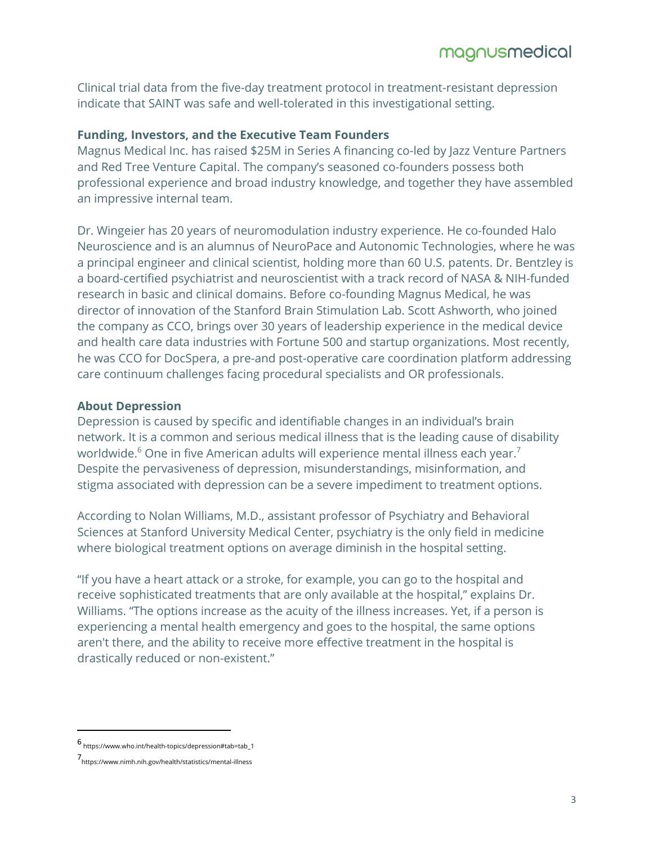Clinical trial data from the five-day treatment protocol in treatment-resistant depression indicate that SAINT was safe and well-tolerated in this investigational setting.

### **Funding, Investors, and the Executive Team Founders**

Magnus Medical Inc. has raised \$25M in Series A financing co-led by Jazz Venture Partners and Red Tree Venture Capital. The company's seasoned co-founders possess both professional experience and broad industry knowledge, and together they have assembled an impressive internal team.

Dr. Wingeier has 20 years of neuromodulation industry experience. He co-founded Halo Neuroscience and is an alumnus of NeuroPace and Autonomic Technologies, where he was a principal engineer and clinical scientist, holding more than 60 U.S. patents. Dr. Bentzley is a board-certified psychiatrist and neuroscientist with a track record of NASA & NIH-funded research in basic and clinical domains. Before co-founding Magnus Medical, he was director of innovation of the Stanford Brain Stimulation Lab. Scott Ashworth, who joined the company as CCO, brings over 30 years of leadership experience in the medical device and health care data industries with Fortune 500 and startup organizations. Most recently, he was CCO for DocSpera, a pre-and post-operative care coordination platform addressing care continuum challenges facing procedural specialists and OR professionals.

#### **About Depression**

Depression is caused by specific and identifiable changes in an individual's brain network. It is a common and serious medical illness that is the leading cause of disability worldwide.<sup>6</sup> One in five American adults will experience mental illness each year.<sup>7</sup> Despite the pervasiveness of depression, misunderstandings, misinformation, and stigma associated with depression can be a severe impediment to treatment options.

According to Nolan Williams, M.D., assistant professor of Psychiatry and Behavioral Sciences at Stanford University Medical Center, psychiatry is the only field in medicine where biological treatment options on average diminish in the hospital setting.

"If you have a heart attack or a stroke, for example, you can go to the hospital and receive sophisticated treatments that are only available at the hospital," explains Dr. Williams. "The options increase as the acuity of the illness increases. Yet, if a person is experiencing a mental health emergency and goes to the hospital, the same options aren't there, and the ability to receive more effective treatment in the hospital is drastically reduced or non-existent."

<sup>6</sup> https://www.who.int/health-topics/depression#tab=tab\_1

<sup>7</sup>https://www.nimh.nih.gov/health/statistics/mental-illness